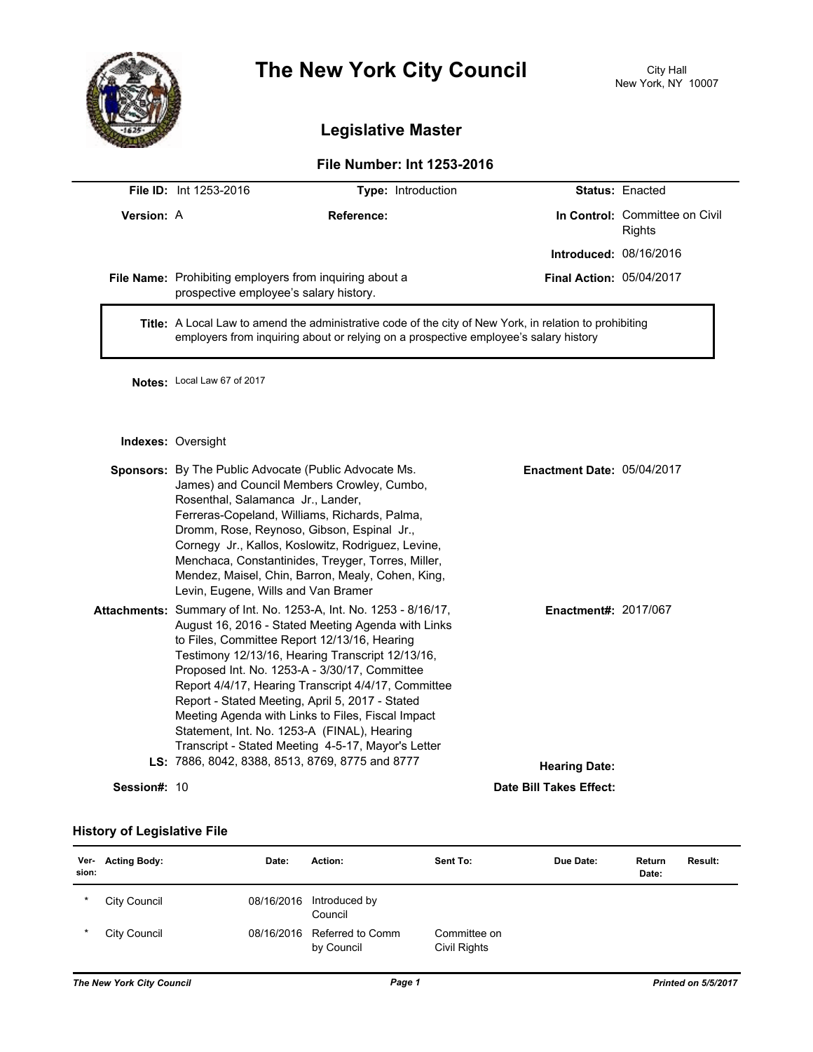

## **The New York City Council** City Hall

## **Legislative Master**

## **File Number: Int 1253-2016**

|              | File ID: Int 1253-2016                                                                                                                                                                          | Type: Introduction                                                                                                                                                                                                                                                                                                                                                                                                                                                                                                                                      |                                   | <b>Status: Enacted</b>                          |  |  |
|--------------|-------------------------------------------------------------------------------------------------------------------------------------------------------------------------------------------------|---------------------------------------------------------------------------------------------------------------------------------------------------------------------------------------------------------------------------------------------------------------------------------------------------------------------------------------------------------------------------------------------------------------------------------------------------------------------------------------------------------------------------------------------------------|-----------------------------------|-------------------------------------------------|--|--|
| Version: A   |                                                                                                                                                                                                 | Reference:                                                                                                                                                                                                                                                                                                                                                                                                                                                                                                                                              |                                   | In Control: Committee on Civil<br><b>Rights</b> |  |  |
|              |                                                                                                                                                                                                 |                                                                                                                                                                                                                                                                                                                                                                                                                                                                                                                                                         | Introduced: 08/16/2016            |                                                 |  |  |
|              | prospective employee's salary history.                                                                                                                                                          | File Name: Prohibiting employers from inquiring about a                                                                                                                                                                                                                                                                                                                                                                                                                                                                                                 | <b>Final Action: 05/04/2017</b>   |                                                 |  |  |
|              | Title: A Local Law to amend the administrative code of the city of New York, in relation to prohibiting<br>employers from inquiring about or relying on a prospective employee's salary history |                                                                                                                                                                                                                                                                                                                                                                                                                                                                                                                                                         |                                   |                                                 |  |  |
|              | Notes: Local Law 67 of 2017                                                                                                                                                                     |                                                                                                                                                                                                                                                                                                                                                                                                                                                                                                                                                         |                                   |                                                 |  |  |
|              | Indexes: Oversight                                                                                                                                                                              |                                                                                                                                                                                                                                                                                                                                                                                                                                                                                                                                                         |                                   |                                                 |  |  |
|              | Rosenthal, Salamanca Jr., Lander,<br>Levin, Eugene, Wills and Van Bramer                                                                                                                        | <b>Sponsors:</b> By The Public Advocate (Public Advocate Ms.<br>James) and Council Members Crowley, Cumbo,<br>Ferreras-Copeland, Williams, Richards, Palma,<br>Dromm, Rose, Reynoso, Gibson, Espinal Jr.,<br>Cornegy Jr., Kallos, Koslowitz, Rodriguez, Levine,<br>Menchaca, Constantinides, Treyger, Torres, Miller,<br>Mendez, Maisel, Chin, Barron, Mealy, Cohen, King,                                                                                                                                                                              | <b>Enactment Date: 05/04/2017</b> |                                                 |  |  |
|              |                                                                                                                                                                                                 | <b>Attachments:</b> Summary of Int. No. 1253-A, Int. No. 1253 - 8/16/17,<br>August 16, 2016 - Stated Meeting Agenda with Links<br>to Files, Committee Report 12/13/16, Hearing<br>Testimony 12/13/16, Hearing Transcript 12/13/16,<br>Proposed Int. No. 1253-A - 3/30/17, Committee<br>Report 4/4/17, Hearing Transcript 4/4/17, Committee<br>Report - Stated Meeting, April 5, 2017 - Stated<br>Meeting Agenda with Links to Files, Fiscal Impact<br>Statement, Int. No. 1253-A (FINAL), Hearing<br>Transcript - Stated Meeting 4-5-17, Mayor's Letter | <b>Enactment#: 2017/067</b>       |                                                 |  |  |
|              |                                                                                                                                                                                                 | LS: 7886, 8042, 8388, 8513, 8769, 8775 and 8777                                                                                                                                                                                                                                                                                                                                                                                                                                                                                                         | <b>Hearing Date:</b>              |                                                 |  |  |
| Session#: 10 |                                                                                                                                                                                                 |                                                                                                                                                                                                                                                                                                                                                                                                                                                                                                                                                         | Date Bill Takes Effect:           |                                                 |  |  |

## **History of Legislative File**

| Ver-<br>sion: | <b>Acting Body:</b> | Date:      | Action:                        | Sent To:                     | Due Date: | Return<br>Date: | Result: |
|---------------|---------------------|------------|--------------------------------|------------------------------|-----------|-----------------|---------|
| *             | City Council        | 08/16/2016 | Introduced by<br>Council       |                              |           |                 |         |
| $\star$       | City Council        | 08/16/2016 | Referred to Comm<br>by Council | Committee on<br>Civil Rights |           |                 |         |